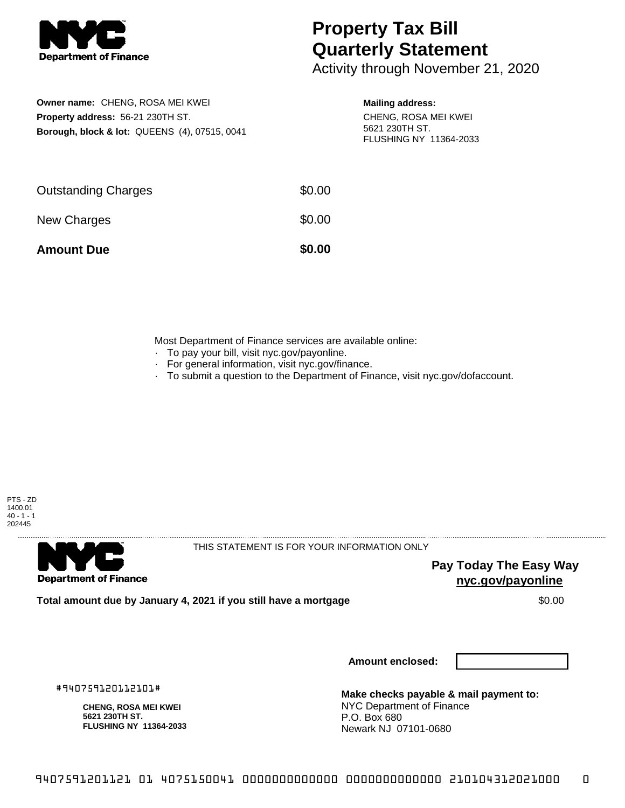

## **Property Tax Bill Quarterly Statement**

Activity through November 21, 2020

**Owner name:** CHENG, ROSA MEI KWEI **Property address:** 56-21 230TH ST. **Borough, block & lot:** QUEENS (4), 07515, 0041

## **Mailing address:**

CHENG, ROSA MEI KWEI 5621 230TH ST. FLUSHING NY 11364-2033

| <b>Amount Due</b>          | \$0.00 |
|----------------------------|--------|
| New Charges                | \$0.00 |
| <b>Outstanding Charges</b> | \$0.00 |

Most Department of Finance services are available online:

- · To pay your bill, visit nyc.gov/payonline.
- For general information, visit nyc.gov/finance.
- · To submit a question to the Department of Finance, visit nyc.gov/dofaccount.



. . . . . . . . . . . . . . . .

**Department of Finance** 

THIS STATEMENT IS FOR YOUR INFORMATION ONLY

**Pay Today The Easy Way nyc.gov/payonline**

**Total amount due by January 4, 2021 if you still have a mortgage**  $$0.00$ 

**Amount enclosed:**

#940759120112101#

**CHENG, ROSA MEI KWEI 5621 230TH ST. FLUSHING NY 11364-2033**

**Make checks payable & mail payment to:** NYC Department of Finance P.O. Box 680 Newark NJ 07101-0680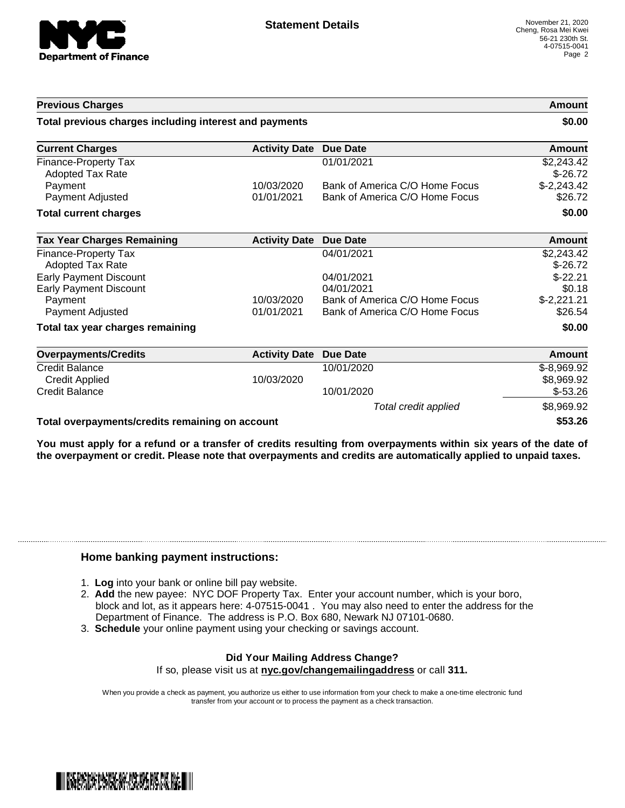

Total credit applied  $$8,969.92$ 

| <b>Previous Charges</b>                                |                      |                                | <b>Amount</b> |
|--------------------------------------------------------|----------------------|--------------------------------|---------------|
| Total previous charges including interest and payments |                      |                                | \$0.00        |
| <b>Current Charges</b>                                 | <b>Activity Date</b> | <b>Due Date</b>                | Amount        |
| <b>Finance-Property Tax</b>                            |                      | 01/01/2021                     | \$2,243.42    |
| Adopted Tax Rate                                       |                      |                                | $$-26.72$     |
| Payment                                                | 10/03/2020           | Bank of America C/O Home Focus | $$-2,243.42$  |
| Payment Adjusted                                       | 01/01/2021           | Bank of America C/O Home Focus | \$26.72       |
| <b>Total current charges</b>                           |                      |                                | \$0.00        |
| <b>Tax Year Charges Remaining</b>                      | <b>Activity Date</b> | <b>Due Date</b>                | <b>Amount</b> |
| <b>Finance-Property Tax</b>                            |                      | 04/01/2021                     | \$2,243.42    |
| <b>Adopted Tax Rate</b>                                |                      |                                | $$-26.72$     |
| <b>Early Payment Discount</b>                          |                      | 04/01/2021                     | $$-22.21$     |
| <b>Early Payment Discount</b>                          |                      | 04/01/2021                     | \$0.18        |
| Payment                                                | 10/03/2020           | Bank of America C/O Home Focus | $$-2,221.21$  |
| Payment Adjusted                                       | 01/01/2021           | Bank of America C/O Home Focus | \$26.54       |
| Total tax year charges remaining                       |                      |                                | \$0.00        |
| <b>Overpayments/Credits</b>                            | <b>Activity Date</b> | <b>Due Date</b>                | Amount        |
| Credit Balance                                         |                      | 10/01/2020                     | $$-8,969.92$  |
| <b>Credit Applied</b>                                  | 10/03/2020           |                                | \$8,969.92    |
| <b>Credit Balance</b>                                  |                      | 10/01/2020                     | $$-53.26$     |

**Total overpayments/credits remaining on account \$53.26**

You must apply for a refund or a transfer of credits resulting from overpayments within six years of the date of **the overpayment or credit. Please note that overpayments and credits are automatically applied to unpaid taxes.**

## **Home banking payment instructions:**

- 1. **Log** into your bank or online bill pay website.
- 2. **Add** the new payee: NYC DOF Property Tax. Enter your account number, which is your boro, block and lot, as it appears here: 4-07515-0041 . You may also need to enter the address for the Department of Finance. The address is P.O. Box 680, Newark NJ 07101-0680.
- 3. **Schedule** your online payment using your checking or savings account.

## **Did Your Mailing Address Change?**

If so, please visit us at **nyc.gov/changemailingaddress** or call **311.**

When you provide a check as payment, you authorize us either to use information from your check to make a one-time electronic fund transfer from your account or to process the payment as a check transaction.